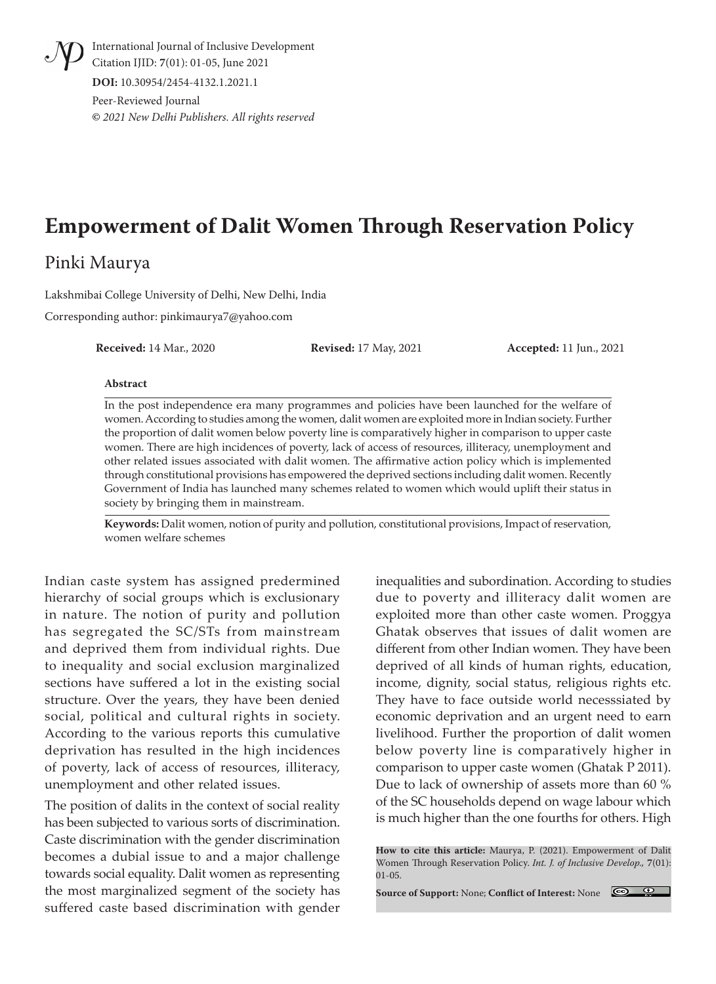International Journal of Inclusive Development Citation IJID: **7**(01): 01-05, June 2021 **DOI:** 10.30954/2454-4132.1.2021.1

Peer-Reviewed Journal **©** *2021 New Delhi Publishers. All rights reserved*

# **Empowerment of Dalit Women Through Reservation Policy**

## Pinki Maurya

Lakshmibai College University of Delhi, New Delhi, India

Corresponding author: pinkimaurya7@yahoo.com

**Received:** 14 Mar., 2020 **Revised:** 17 May, 2021 **Accepted:** 11 Jun., 2021

#### **Abstract**

In the post independence era many programmes and policies have been launched for the welfare of women. According to studies among the women, dalit women are exploited more in Indian society. Further the proportion of dalit women below poverty line is comparatively higher in comparison to upper caste women. There are high incidences of poverty, lack of access of resources, illiteracy, unemployment and other related issues associated with dalit women. The affirmative action policy which is implemented through constitutional provisions has empowered the deprived sections including dalit women. Recently Government of India has launched many schemes related to women which would uplift their status in society by bringing them in mainstream.

**Keywords:** Dalit women, notion of purity and pollution, constitutional provisions, Impact of reservation, women welfare schemes

Indian caste system has assigned predermined hierarchy of social groups which is exclusionary in nature. The notion of purity and pollution has segregated the SC/STs from mainstream and deprived them from individual rights. Due to inequality and social exclusion marginalized sections have suffered a lot in the existing social structure. Over the years, they have been denied social, political and cultural rights in society. According to the various reports this cumulative deprivation has resulted in the high incidences of poverty, lack of access of resources, illiteracy, unemployment and other related issues.

The position of dalits in the context of social reality has been subjected to various sorts of discrimination. Caste discrimination with the gender discrimination becomes a dubial issue to and a major challenge towards social equality. Dalit women as representing the most marginalized segment of the society has suffered caste based discrimination with gender inequalities and subordination. According to studies due to poverty and illiteracy dalit women are exploited more than other caste women. Proggya Ghatak observes that issues of dalit women are different from other Indian women. They have been deprived of all kinds of human rights, education, income, dignity, social status, religious rights etc. They have to face outside world necesssiated by economic deprivation and an urgent need to earn livelihood. Further the proportion of dalit women below poverty line is comparatively higher in comparison to upper caste women (Ghatak P 2011). Due to lack of ownership of assets more than 60 % of the SC households depend on wage labour which is much higher than the one fourths for others. High

**Source of Support:** None; **Conflict of Interest:** None



**How to cite this article:** Maurya, P. (2021). Empowerment of Dalit Women Through Reservation Policy. *Int. J. of Inclusive Develop.,* **7**(01): 01-05.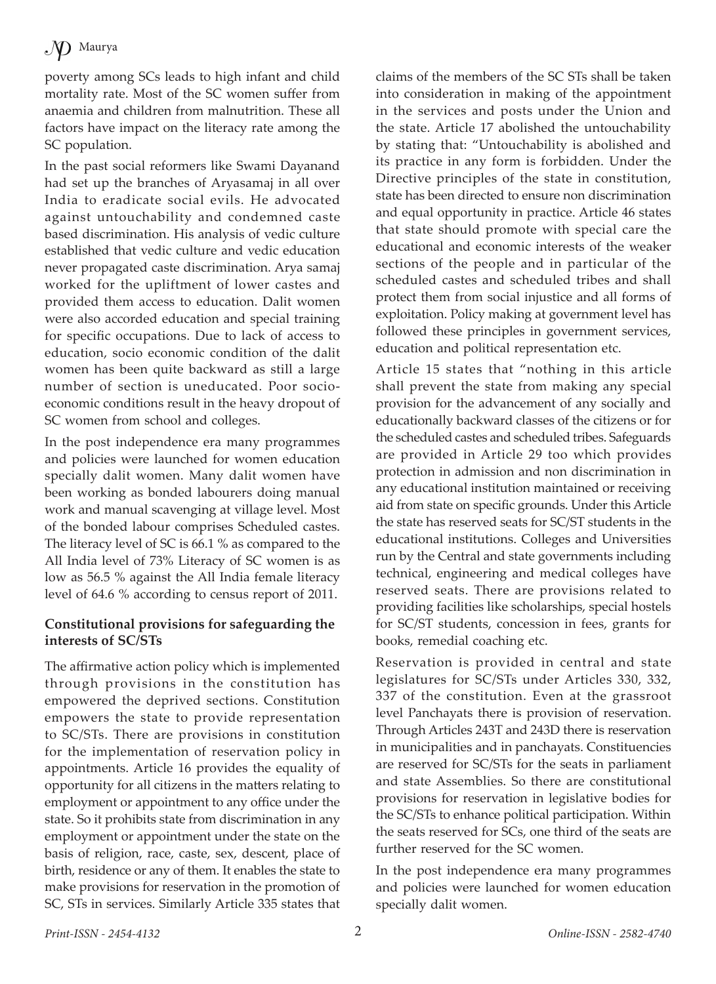poverty among SCs leads to high infant and child mortality rate. Most of the SC women suffer from anaemia and children from malnutrition. These all factors have impact on the literacy rate among the SC population.

In the past social reformers like Swami Dayanand had set up the branches of Aryasamaj in all over India to eradicate social evils. He advocated against untouchability and condemned caste based discrimination. His analysis of vedic culture established that vedic culture and vedic education never propagated caste discrimination. Arya samaj worked for the upliftment of lower castes and provided them access to education. Dalit women were also accorded education and special training for specific occupations. Due to lack of access to education, socio economic condition of the dalit women has been quite backward as still a large number of section is uneducated. Poor socioeconomic conditions result in the heavy dropout of SC women from school and colleges.

In the post independence era many programmes and policies were launched for women education specially dalit women. Many dalit women have been working as bonded labourers doing manual work and manual scavenging at village level. Most of the bonded labour comprises Scheduled castes. The literacy level of SC is 66.1 % as compared to the All India level of 73% Literacy of SC women is as low as 56.5 % against the All India female literacy level of 64.6 % according to census report of 2011.

### **Constitutional provisions for safeguarding the interests of SC/STs**

The affirmative action policy which is implemented through provisions in the constitution has empowered the deprived sections. Constitution empowers the state to provide representation to SC/STs. There are provisions in constitution for the implementation of reservation policy in appointments. Article 16 provides the equality of opportunity for all citizens in the matters relating to employment or appointment to any office under the state. So it prohibits state from discrimination in any employment or appointment under the state on the basis of religion, race, caste, sex, descent, place of birth, residence or any of them. It enables the state to make provisions for reservation in the promotion of SC, STs in services. Similarly Article 335 states that

claims of the members of the SC STs shall be taken into consideration in making of the appointment in the services and posts under the Union and the state. Article 17 abolished the untouchability by stating that: "Untouchability is abolished and its practice in any form is forbidden. Under the Directive principles of the state in constitution, state has been directed to ensure non discrimination and equal opportunity in practice. Article 46 states that state should promote with special care the educational and economic interests of the weaker sections of the people and in particular of the scheduled castes and scheduled tribes and shall protect them from social injustice and all forms of exploitation. Policy making at government level has followed these principles in government services, education and political representation etc.

Article 15 states that "nothing in this article shall prevent the state from making any special provision for the advancement of any socially and educationally backward classes of the citizens or for the scheduled castes and scheduled tribes. Safeguards are provided in Article 29 too which provides protection in admission and non discrimination in any educational institution maintained or receiving aid from state on specific grounds. Under this Article the state has reserved seats for SC/ST students in the educational institutions. Colleges and Universities run by the Central and state governments including technical, engineering and medical colleges have reserved seats. There are provisions related to providing facilities like scholarships, special hostels for SC/ST students, concession in fees, grants for books, remedial coaching etc.

Reservation is provided in central and state legislatures for SC/STs under Articles 330, 332, 337 of the constitution. Even at the grassroot level Panchayats there is provision of reservation. Through Articles 243T and 243D there is reservation in municipalities and in panchayats. Constituencies are reserved for SC/STs for the seats in parliament and state Assemblies. So there are constitutional provisions for reservation in legislative bodies for the SC/STs to enhance political participation. Within the seats reserved for SCs, one third of the seats are further reserved for the SC women.

In the post independence era many programmes and policies were launched for women education specially dalit women.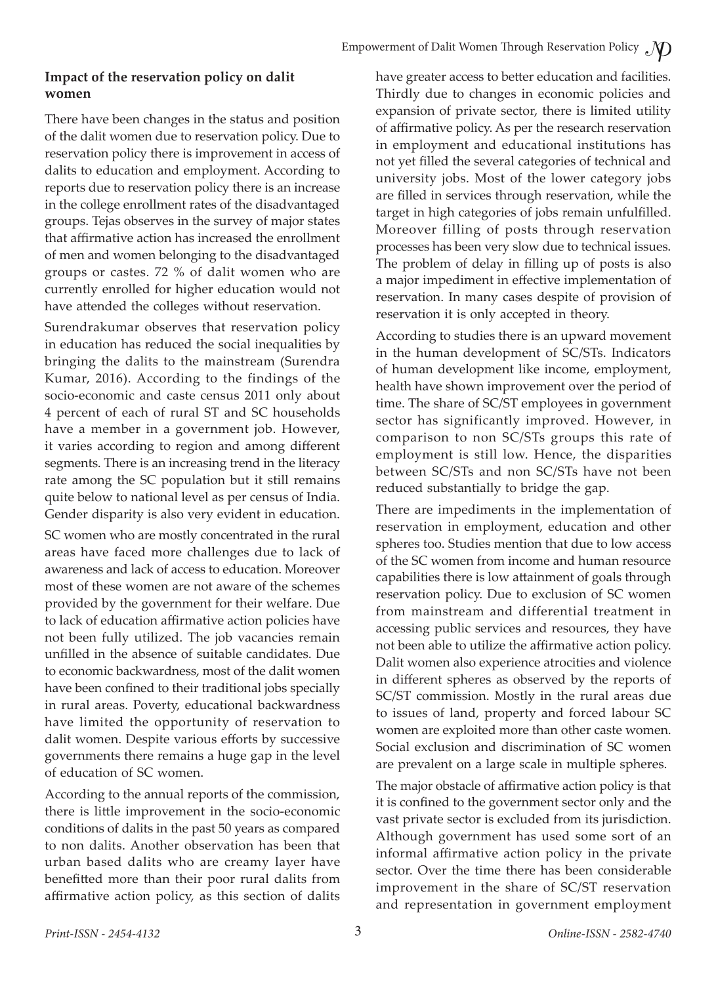#### **Impact of the reservation policy on dalit women**

There have been changes in the status and position of the dalit women due to reservation policy. Due to reservation policy there is improvement in access of dalits to education and employment. According to reports due to reservation policy there is an increase in the college enrollment rates of the disadvantaged groups. Tejas observes in the survey of major states that affirmative action has increased the enrollment of men and women belonging to the disadvantaged groups or castes. 72 % of dalit women who are currently enrolled for higher education would not have attended the colleges without reservation.

Surendrakumar observes that reservation policy in education has reduced the social inequalities by bringing the dalits to the mainstream (Surendra Kumar, 2016). According to the findings of the socio-economic and caste census 2011 only about 4 percent of each of rural ST and SC households have a member in a government job. However, it varies according to region and among different segments. There is an increasing trend in the literacy rate among the SC population but it still remains quite below to national level as per census of India. Gender disparity is also very evident in education.

SC women who are mostly concentrated in the rural areas have faced more challenges due to lack of awareness and lack of access to education. Moreover most of these women are not aware of the schemes provided by the government for their welfare. Due to lack of education affirmative action policies have not been fully utilized. The job vacancies remain unfilled in the absence of suitable candidates. Due to economic backwardness, most of the dalit women have been confined to their traditional jobs specially in rural areas. Poverty, educational backwardness have limited the opportunity of reservation to dalit women. Despite various efforts by successive governments there remains a huge gap in the level of education of SC women.

According to the annual reports of the commission, there is little improvement in the socio-economic conditions of dalits in the past 50 years as compared to non dalits. Another observation has been that urban based dalits who are creamy layer have benefitted more than their poor rural dalits from affirmative action policy, as this section of dalits have greater access to better education and facilities. Thirdly due to changes in economic policies and expansion of private sector, there is limited utility of affirmative policy. As per the research reservation in employment and educational institutions has not yet filled the several categories of technical and university jobs. Most of the lower category jobs are filled in services through reservation, while the target in high categories of jobs remain unfulfilled. Moreover filling of posts through reservation processes has been very slow due to technical issues. The problem of delay in filling up of posts is also a major impediment in effective implementation of reservation. In many cases despite of provision of reservation it is only accepted in theory.

According to studies there is an upward movement in the human development of SC/STs. Indicators of human development like income, employment, health have shown improvement over the period of time. The share of SC/ST employees in government sector has significantly improved. However, in comparison to non SC/STs groups this rate of employment is still low. Hence, the disparities between SC/STs and non SC/STs have not been reduced substantially to bridge the gap.

There are impediments in the implementation of reservation in employment, education and other spheres too. Studies mention that due to low access of the SC women from income and human resource capabilities there is low attainment of goals through reservation policy. Due to exclusion of SC women from mainstream and differential treatment in accessing public services and resources, they have not been able to utilize the affirmative action policy. Dalit women also experience atrocities and violence in different spheres as observed by the reports of SC/ST commission. Mostly in the rural areas due to issues of land, property and forced labour SC women are exploited more than other caste women. Social exclusion and discrimination of SC women are prevalent on a large scale in multiple spheres.

The major obstacle of affirmative action policy is that it is confined to the government sector only and the vast private sector is excluded from its jurisdiction. Although government has used some sort of an informal affirmative action policy in the private sector. Over the time there has been considerable improvement in the share of SC/ST reservation and representation in government employment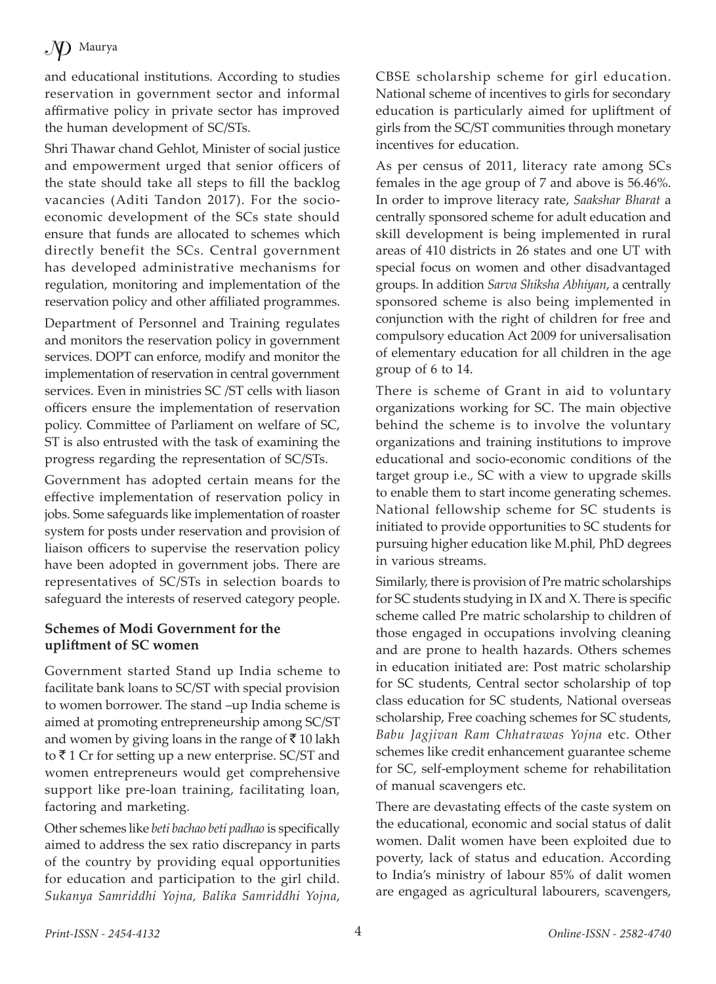## $\mathcal{N}$  Maurya

and educational institutions. According to studies reservation in government sector and informal affirmative policy in private sector has improved the human development of SC/STs.

Shri Thawar chand Gehlot, Minister of social justice and empowerment urged that senior officers of the state should take all steps to fill the backlog vacancies (Aditi Tandon 2017). For the socioeconomic development of the SCs state should ensure that funds are allocated to schemes which directly benefit the SCs. Central government has developed administrative mechanisms for regulation, monitoring and implementation of the reservation policy and other affiliated programmes.

Department of Personnel and Training regulates and monitors the reservation policy in government services. DOPT can enforce, modify and monitor the implementation of reservation in central government services. Even in ministries SC /ST cells with liason officers ensure the implementation of reservation policy. Committee of Parliament on welfare of SC, ST is also entrusted with the task of examining the progress regarding the representation of SC/STs.

Government has adopted certain means for the effective implementation of reservation policy in jobs. Some safeguards like implementation of roaster system for posts under reservation and provision of liaison officers to supervise the reservation policy have been adopted in government jobs. There are representatives of SC/STs in selection boards to safeguard the interests of reserved category people.

#### **Schemes of Modi Government for the upliftment of SC women**

Government started Stand up India scheme to facilitate bank loans to SC/ST with special provision to women borrower. The stand –up India scheme is aimed at promoting entrepreneurship among SC/ST and women by giving loans in the range of  $\bar{z}$  10 lakh to  $\bar{\tau}$  1 Cr for setting up a new enterprise. SC/ST and women entrepreneurs would get comprehensive support like pre-loan training, facilitating loan, factoring and marketing.

Other schemes like *beti bachao beti padhao* is specifically aimed to address the sex ratio discrepancy in parts of the country by providing equal opportunities for education and participation to the girl child. *Sukanya Samriddhi Yojna, Balika Samriddhi Yojna*,

CBSE scholarship scheme for girl education. National scheme of incentives to girls for secondary education is particularly aimed for upliftment of girls from the SC/ST communities through monetary incentives for education.

As per census of 2011, literacy rate among SCs females in the age group of 7 and above is 56.46%. In order to improve literacy rate, *Saakshar Bharat* a centrally sponsored scheme for adult education and skill development is being implemented in rural areas of 410 districts in 26 states and one UT with special focus on women and other disadvantaged groups. In addition *Sarva Shiksha Abhiyan*, a centrally sponsored scheme is also being implemented in conjunction with the right of children for free and compulsory education Act 2009 for universalisation of elementary education for all children in the age group of 6 to 14.

There is scheme of Grant in aid to voluntary organizations working for SC. The main objective behind the scheme is to involve the voluntary organizations and training institutions to improve educational and socio-economic conditions of the target group i.e., SC with a view to upgrade skills to enable them to start income generating schemes. National fellowship scheme for SC students is initiated to provide opportunities to SC students for pursuing higher education like M.phil, PhD degrees in various streams.

Similarly, there is provision of Pre matric scholarships for SC students studying in IX and X. There is specific scheme called Pre matric scholarship to children of those engaged in occupations involving cleaning and are prone to health hazards. Others schemes in education initiated are: Post matric scholarship for SC students, Central sector scholarship of top class education for SC students, National overseas scholarship, Free coaching schemes for SC students, *Babu Jagjivan Ram Chhatrawas Yojna* etc. Other schemes like credit enhancement guarantee scheme for SC, self-employment scheme for rehabilitation of manual scavengers etc.

There are devastating effects of the caste system on the educational, economic and social status of dalit women. Dalit women have been exploited due to poverty, lack of status and education. According to India's ministry of labour 85% of dalit women are engaged as agricultural labourers, scavengers,